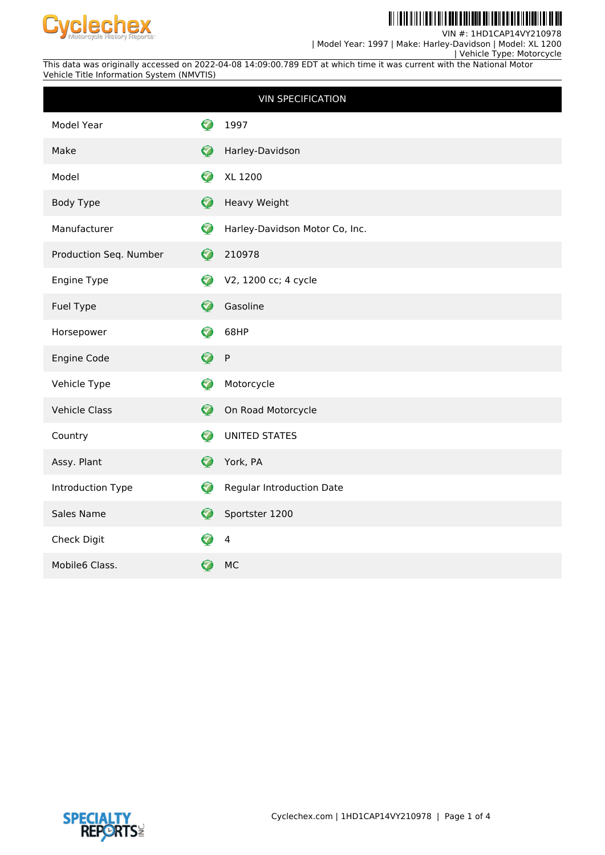

II III I

VIN #: 1HD1CAP14VY210978 | Model Year: 1997 | Make: Harley-Davidson | Model: XL 1200

 | Vehicle Type: Motorcycle This data was originally accessed on 2022-04-08 14:09:00.789 EDT at which time it was current with the National Motor Vehicle Title Information System (NMVTIS)

|                        |                      | <b>VIN SPECIFICATION</b>         |
|------------------------|----------------------|----------------------------------|
| Model Year             | ✓                    | 1997                             |
| Make                   | Ø                    | Harley-Davidson                  |
| Model                  | Ø                    | XL 1200                          |
| <b>Body Type</b>       | 0                    | Heavy Weight                     |
| Manufacturer           | ♡                    | Harley-Davidson Motor Co, Inc.   |
| Production Seq. Number | Ø                    | 210978                           |
| Engine Type            | Ø                    | V2, 1200 cc; 4 cycle             |
| Fuel Type              | $\blacktriangledown$ | Gasoline                         |
| Horsepower             | ✓                    | 68HP                             |
| Engine Code            | ❼                    | $\sf P$                          |
| Vehicle Type           | Ø                    | Motorcycle                       |
| <b>Vehicle Class</b>   | Ø                    | On Road Motorcycle               |
| Country                | Ø                    | <b>UNITED STATES</b>             |
| Assy. Plant            | Ø                    | York, PA                         |
| Introduction Type      | $\blacktriangledown$ | <b>Regular Introduction Date</b> |
| Sales Name             | Ø                    | Sportster 1200                   |
| Check Digit            | ✓                    | $\overline{4}$                   |
| Mobile6 Class.         | ✓                    | <b>MC</b>                        |

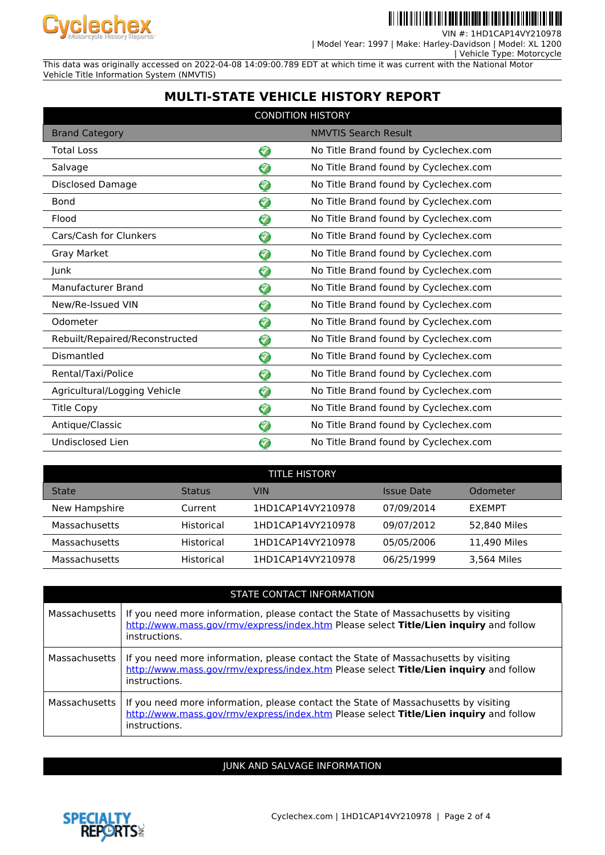

**III IIIII IIIII TII AN I AN AN AN III** 

VIN #: 1HD1CAP14VY210978 | Model Year: 1997 | Make: Harley-Davidson | Model: XL 1200

| Vehicle Type: Motorcycle

This data was originally accessed on 2022-04-08 14:09:00.789 EDT at which time it was current with the National Motor Vehicle Title Information System (NMVTIS)

# **MULTI-STATE VEHICLE HISTORY REPORT**

| <b>CONDITION HISTORY</b>       |                      |                                       |  |
|--------------------------------|----------------------|---------------------------------------|--|
| <b>Brand Category</b>          |                      | <b>NMVTIS Search Result</b>           |  |
| <b>Total Loss</b>              | $\blacktriangledown$ | No Title Brand found by Cyclechex.com |  |
| Salvage                        | V                    | No Title Brand found by Cyclechex.com |  |
| Disclosed Damage               | 5                    | No Title Brand found by Cyclechex.com |  |
| Bond                           | 7                    | No Title Brand found by Cyclechex.com |  |
| Flood                          | 0                    | No Title Brand found by Cyclechex.com |  |
| Cars/Cash for Clunkers         | ❤                    | No Title Brand found by Cyclechex.com |  |
| Gray Market                    | ❤                    | No Title Brand found by Cyclechex.com |  |
| Junk                           | $\bullet$            | No Title Brand found by Cyclechex.com |  |
| Manufacturer Brand             | ❤                    | No Title Brand found by Cyclechex.com |  |
| New/Re-Issued VIN              | 7                    | No Title Brand found by Cyclechex.com |  |
| Odometer                       | 7                    | No Title Brand found by Cyclechex.com |  |
| Rebuilt/Repaired/Reconstructed | Ø                    | No Title Brand found by Cyclechex.com |  |
| Dismantled                     | 0                    | No Title Brand found by Cyclechex.com |  |
| Rental/Taxi/Police             | ଚ                    | No Title Brand found by Cyclechex.com |  |
| Agricultural/Logging Vehicle   | ❤                    | No Title Brand found by Cyclechex.com |  |
| <b>Title Copy</b>              | 0                    | No Title Brand found by Cyclechex.com |  |
| Antique/Classic                | 7                    | No Title Brand found by Cyclechex.com |  |
| Undisclosed Lien               | $\blacktriangledown$ | No Title Brand found by Cyclechex.com |  |

| <b>TITLE HISTORY</b> |               |                   |            |               |  |
|----------------------|---------------|-------------------|------------|---------------|--|
| <b>State</b>         | <b>Status</b> | VIN               | Issue Date | Odometer      |  |
| New Hampshire        | Current       | 1HD1CAP14VY210978 | 07/09/2014 | <b>FXFMPT</b> |  |
| Massachusetts        | Historical    | 1HD1CAP14VY210978 | 09/07/2012 | 52.840 Miles  |  |
| Massachusetts        | Historical    | 1HD1CAP14VY210978 | 05/05/2006 | 11.490 Miles  |  |
| Massachusetts        | Historical    | 1HD1CAP14VY210978 | 06/25/1999 | 3,564 Miles   |  |

|               | STATE CONTACT INFORMATION                                                                                                                                                                     |
|---------------|-----------------------------------------------------------------------------------------------------------------------------------------------------------------------------------------------|
| Massachusetts | If you need more information, please contact the State of Massachusetts by visiting<br>http://www.mass.gov/rmv/express/index.htm Please select Title/Lien inquiry and follow<br>instructions. |
| Massachusetts | If you need more information, please contact the State of Massachusetts by visiting<br>http://www.mass.gov/rmv/express/index.htm Please select Title/Lien inquiry and follow<br>instructions. |
| Massachusetts | If you need more information, please contact the State of Massachusetts by visiting<br>http://www.mass.gov/rmy/express/index.htm Please select Title/Lien inquiry and follow<br>instructions. |

JUNK AND SALVAGE INFORMATION

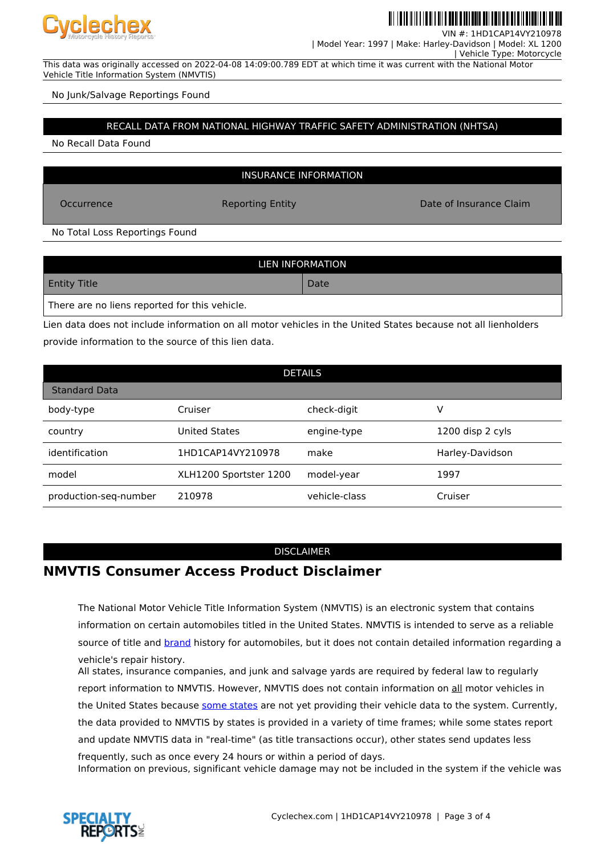

| Vehicle Type: Motorcycle

VIN #: 1HD1CAP14VY210978 | Model Year: 1997 | Make: Harley-Davidson | Model: XL 1200

This data was originally accessed on 2022-04-08 14:09:00.789 EDT at which time it was current with the National Motor Vehicle Title Information System (NMVTIS)

No Junk/Salvage Reportings Found

#### RECALL DATA FROM NATIONAL HIGHWAY TRAFFIC SAFETY ADMINISTRATION (NHTSA)

No Recall Data Found

INSURANCE INFORMATION

Occurrence **Reporting Entity Reporting Entity Date of Insurance Claim** 

No Total Loss Reportings Found

| LIEN INFORMATION                              |      |  |  |
|-----------------------------------------------|------|--|--|
| <b>Entity Title</b>                           | Date |  |  |
| There are no liens reported for this vehicle. |      |  |  |

Lien data does not include information on all motor vehicles in the United States because not all lienholders provide information to the source of this lien data.

| <b>DETAILS</b>        |                        |               |                  |  |
|-----------------------|------------------------|---------------|------------------|--|
| <b>Standard Data</b>  |                        |               |                  |  |
| body-type             | Cruiser                | check-digit   | v                |  |
| country               | <b>United States</b>   | engine-type   | 1200 disp 2 cyls |  |
| identification        | 1HD1CAP14VY210978      | make          | Harley-Davidson  |  |
| model                 | XLH1200 Sportster 1200 | model-year    | 1997             |  |
| production-seq-number | 210978                 | vehicle-class | Cruiser          |  |

### DISCLAIMER

## **NMVTIS Consumer Access Product Disclaimer**

The National Motor Vehicle Title Information System (NMVTIS) is an electronic system that contains information on certain automobiles titled in the United States. NMVTIS is intended to serve as a reliable source of title and **brand** history for automobiles, but it does not contain detailed information regarding a vehicle's repair history.

All states, insurance companies, and junk and salvage yards are required by federal law to regularly report information to NMVTIS. However, NMVTIS does not contain information on all motor vehicles in the United States because [some states](https://vehiclehistory.bja.ojp.gov/nmvtis_states) are not yet providing their vehicle data to the system. Currently, the data provided to NMVTIS by states is provided in a variety of time frames; while some states report and update NMVTIS data in "real-time" (as title transactions occur), other states send updates less frequently, such as once every 24 hours or within a period of days.

Information on previous, significant vehicle damage may not be included in the system if the vehicle was